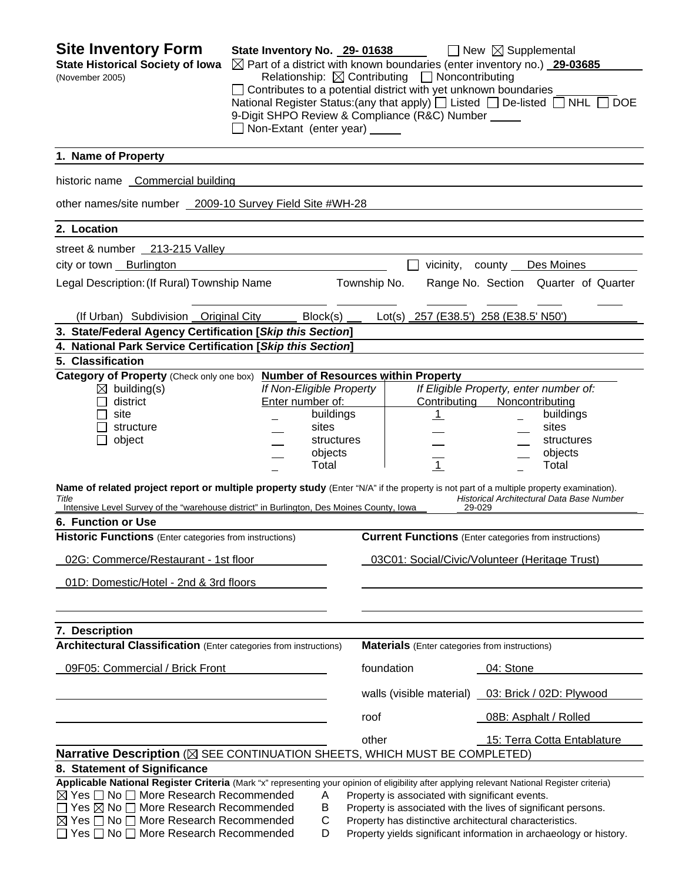| <b>Site Inventory Form</b><br><b>State Historical Society of Iowa</b><br>(November 2005)                                                                                                                                                                                                                                                                                                                                                                                                                                                                                | State Inventory No. 29-01638<br>$\Box$ Contributes to a potential district with yet unknown boundaries<br>9-Digit SHPO Review & Compliance (R&C) Number _____<br>Non-Extant (enter year) _____ |              | Relationship: $\boxtimes$ Contributing $\Box$ Noncontributing | $\Box$ New $\boxtimes$ Supplemental<br>$\boxtimes$ Part of a district with known boundaries (enter inventory no.) 29-03685<br>National Register Status: (any that apply) $\Box$ Listed $\Box$ De-listed $\Box$ NHL $\Box$                                                                   | <b>DOE</b> |
|-------------------------------------------------------------------------------------------------------------------------------------------------------------------------------------------------------------------------------------------------------------------------------------------------------------------------------------------------------------------------------------------------------------------------------------------------------------------------------------------------------------------------------------------------------------------------|------------------------------------------------------------------------------------------------------------------------------------------------------------------------------------------------|--------------|---------------------------------------------------------------|---------------------------------------------------------------------------------------------------------------------------------------------------------------------------------------------------------------------------------------------------------------------------------------------|------------|
| 1. Name of Property                                                                                                                                                                                                                                                                                                                                                                                                                                                                                                                                                     |                                                                                                                                                                                                |              |                                                               |                                                                                                                                                                                                                                                                                             |            |
| historic name Commercial building                                                                                                                                                                                                                                                                                                                                                                                                                                                                                                                                       |                                                                                                                                                                                                |              |                                                               |                                                                                                                                                                                                                                                                                             |            |
| other names/site number 2009-10 Survey Field Site #WH-28                                                                                                                                                                                                                                                                                                                                                                                                                                                                                                                |                                                                                                                                                                                                |              |                                                               |                                                                                                                                                                                                                                                                                             |            |
| 2. Location                                                                                                                                                                                                                                                                                                                                                                                                                                                                                                                                                             |                                                                                                                                                                                                |              |                                                               |                                                                                                                                                                                                                                                                                             |            |
| street & number 213-215 Valley                                                                                                                                                                                                                                                                                                                                                                                                                                                                                                                                          |                                                                                                                                                                                                |              |                                                               |                                                                                                                                                                                                                                                                                             |            |
| city or town Burlington                                                                                                                                                                                                                                                                                                                                                                                                                                                                                                                                                 |                                                                                                                                                                                                |              | vicinity,                                                     | county Des Moines                                                                                                                                                                                                                                                                           |            |
| Legal Description: (If Rural) Township Name                                                                                                                                                                                                                                                                                                                                                                                                                                                                                                                             |                                                                                                                                                                                                | Township No. |                                                               | Range No. Section Quarter of Quarter                                                                                                                                                                                                                                                        |            |
|                                                                                                                                                                                                                                                                                                                                                                                                                                                                                                                                                                         |                                                                                                                                                                                                |              |                                                               |                                                                                                                                                                                                                                                                                             |            |
| (If Urban) Subdivision Original City                                                                                                                                                                                                                                                                                                                                                                                                                                                                                                                                    | Block(s)                                                                                                                                                                                       |              |                                                               | Lot(s) 257 (E38.5') 258 (E38.5' N50')                                                                                                                                                                                                                                                       |            |
| 3. State/Federal Agency Certification [Skip this Section]                                                                                                                                                                                                                                                                                                                                                                                                                                                                                                               |                                                                                                                                                                                                |              |                                                               |                                                                                                                                                                                                                                                                                             |            |
| 4. National Park Service Certification [Skip this Section]<br>5. Classification                                                                                                                                                                                                                                                                                                                                                                                                                                                                                         |                                                                                                                                                                                                |              |                                                               |                                                                                                                                                                                                                                                                                             |            |
| Category of Property (Check only one box) Number of Resources within Property<br>$\boxtimes$ building(s)<br>district<br>site<br>structure<br>object<br>Name of related project report or multiple property study (Enter "N/A" if the property is not part of a multiple property examination).<br>Title<br>Intensive Level Survey of the "warehouse district" in Burlington, Des Moines County, Iowa<br>6. Function or Use<br>Historic Functions (Enter categories from instructions)<br>02G: Commerce/Restaurant - 1st floor<br>01D: Domestic/Hotel - 2nd & 3rd floors | If Non-Eligible Property<br>Enter number of:<br>buildings<br>sites<br>objects<br>Total                                                                                                         | structures   | Contributing<br>$\mathbf{1}$<br>$\overline{1}$                | If Eligible Property, enter number of:<br>Noncontributing<br>buildings<br>sites<br>structures<br>objects<br>Total<br>Historical Architectural Data Base Number<br>29-029<br><b>Current Functions</b> (Enter categories from instructions)<br>03C01: Social/Civic/Volunteer (Heritage Trust) |            |
| 7. Description<br><b>Architectural Classification</b> (Enter categories from instructions)                                                                                                                                                                                                                                                                                                                                                                                                                                                                              |                                                                                                                                                                                                |              | <b>Materials</b> (Enter categories from instructions)         |                                                                                                                                                                                                                                                                                             |            |
| 09F05: Commercial / Brick Front                                                                                                                                                                                                                                                                                                                                                                                                                                                                                                                                         |                                                                                                                                                                                                | foundation   |                                                               | 04: Stone                                                                                                                                                                                                                                                                                   |            |
|                                                                                                                                                                                                                                                                                                                                                                                                                                                                                                                                                                         |                                                                                                                                                                                                |              |                                                               |                                                                                                                                                                                                                                                                                             |            |
|                                                                                                                                                                                                                                                                                                                                                                                                                                                                                                                                                                         |                                                                                                                                                                                                |              | walls (visible material)                                      | 03: Brick / 02D: Plywood                                                                                                                                                                                                                                                                    |            |
|                                                                                                                                                                                                                                                                                                                                                                                                                                                                                                                                                                         |                                                                                                                                                                                                | roof         |                                                               | 08B: Asphalt / Rolled                                                                                                                                                                                                                                                                       |            |
| Narrative Description (X SEE CONTINUATION SHEETS, WHICH MUST BE COMPLETED)                                                                                                                                                                                                                                                                                                                                                                                                                                                                                              |                                                                                                                                                                                                | other        |                                                               | 15: Terra Cotta Entablature                                                                                                                                                                                                                                                                 |            |
| 8. Statement of Significance                                                                                                                                                                                                                                                                                                                                                                                                                                                                                                                                            |                                                                                                                                                                                                |              |                                                               |                                                                                                                                                                                                                                                                                             |            |
| Applicable National Register Criteria (Mark "x" representing your opinion of eligibility after applying relevant National Register criteria)<br>$\boxtimes$ Yes $\Box$ No $\Box$ More Research Recommended<br>$\Box$ Yes $\boxtimes$ No $\Box$ More Research Recommended<br>$\boxtimes$ Yes $\Box$ No $\Box$ More Research Recommended<br>$\Box$ Yes $\Box$ No $\Box$ More Research Recommended                                                                                                                                                                         | A<br>Β<br>C<br>D                                                                                                                                                                               |              | Property is associated with significant events.               | Property is associated with the lives of significant persons.<br>Property has distinctive architectural characteristics.<br>Property yields significant information in archaeology or history.                                                                                              |            |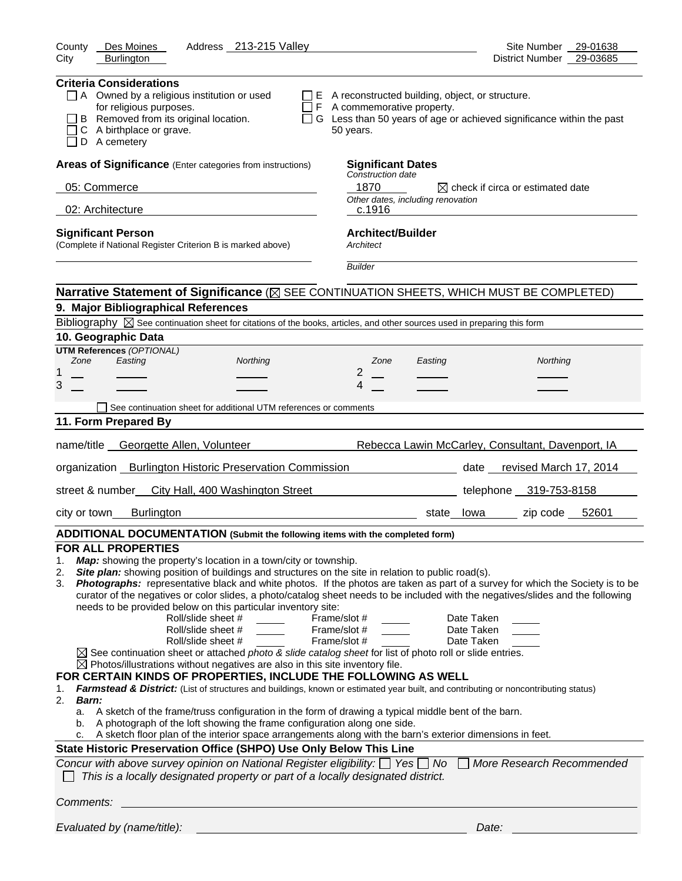| Address 213-215 Valley<br>Des Moines<br>County                                                                                                                                                                                                                                                                                                                                                                                                                                                                                                                                                                                                                                                                                                                                                                                                                                                                                                                                                                                                                                                                                                                                                                                                                                                                                                                                                                                                                                                                                                                                                                                                                                                      | Site Number 29-01638                                                        |
|-----------------------------------------------------------------------------------------------------------------------------------------------------------------------------------------------------------------------------------------------------------------------------------------------------------------------------------------------------------------------------------------------------------------------------------------------------------------------------------------------------------------------------------------------------------------------------------------------------------------------------------------------------------------------------------------------------------------------------------------------------------------------------------------------------------------------------------------------------------------------------------------------------------------------------------------------------------------------------------------------------------------------------------------------------------------------------------------------------------------------------------------------------------------------------------------------------------------------------------------------------------------------------------------------------------------------------------------------------------------------------------------------------------------------------------------------------------------------------------------------------------------------------------------------------------------------------------------------------------------------------------------------------------------------------------------------------|-----------------------------------------------------------------------------|
| City<br><b>Burlington</b>                                                                                                                                                                                                                                                                                                                                                                                                                                                                                                                                                                                                                                                                                                                                                                                                                                                                                                                                                                                                                                                                                                                                                                                                                                                                                                                                                                                                                                                                                                                                                                                                                                                                           | District Number 29-03685                                                    |
| <b>Criteria Considerations</b><br>A Owned by a religious institution or used<br>$\Box$ E A reconstructed building, object, or structure.<br>for religious purposes.<br>$\Box$ F A commemorative property.<br>B Removed from its original location.<br>C A birthplace or grave.<br>50 years.<br>D A cemetery                                                                                                                                                                                                                                                                                                                                                                                                                                                                                                                                                                                                                                                                                                                                                                                                                                                                                                                                                                                                                                                                                                                                                                                                                                                                                                                                                                                         | $\Box$ G Less than 50 years of age or achieved significance within the past |
| Areas of Significance (Enter categories from instructions)<br><b>Significant Dates</b>                                                                                                                                                                                                                                                                                                                                                                                                                                                                                                                                                                                                                                                                                                                                                                                                                                                                                                                                                                                                                                                                                                                                                                                                                                                                                                                                                                                                                                                                                                                                                                                                              |                                                                             |
| Construction date<br>05: Commerce<br>1870                                                                                                                                                                                                                                                                                                                                                                                                                                                                                                                                                                                                                                                                                                                                                                                                                                                                                                                                                                                                                                                                                                                                                                                                                                                                                                                                                                                                                                                                                                                                                                                                                                                           | $\boxtimes$ check if circa or estimated date                                |
| Other dates, including renovation                                                                                                                                                                                                                                                                                                                                                                                                                                                                                                                                                                                                                                                                                                                                                                                                                                                                                                                                                                                                                                                                                                                                                                                                                                                                                                                                                                                                                                                                                                                                                                                                                                                                   |                                                                             |
| 02: Architecture<br>c.1916                                                                                                                                                                                                                                                                                                                                                                                                                                                                                                                                                                                                                                                                                                                                                                                                                                                                                                                                                                                                                                                                                                                                                                                                                                                                                                                                                                                                                                                                                                                                                                                                                                                                          |                                                                             |
| <b>Architect/Builder</b><br><b>Significant Person</b><br>(Complete if National Register Criterion B is marked above)<br>Architect                                                                                                                                                                                                                                                                                                                                                                                                                                                                                                                                                                                                                                                                                                                                                                                                                                                                                                                                                                                                                                                                                                                                                                                                                                                                                                                                                                                                                                                                                                                                                                   |                                                                             |
| <b>Builder</b>                                                                                                                                                                                                                                                                                                                                                                                                                                                                                                                                                                                                                                                                                                                                                                                                                                                                                                                                                                                                                                                                                                                                                                                                                                                                                                                                                                                                                                                                                                                                                                                                                                                                                      |                                                                             |
| Narrative Statement of Significance ( $\boxtimes$ SEE CONTINUATION SHEETS, WHICH MUST BE COMPLETED)                                                                                                                                                                                                                                                                                                                                                                                                                                                                                                                                                                                                                                                                                                                                                                                                                                                                                                                                                                                                                                                                                                                                                                                                                                                                                                                                                                                                                                                                                                                                                                                                 |                                                                             |
| 9. Major Bibliographical References                                                                                                                                                                                                                                                                                                                                                                                                                                                                                                                                                                                                                                                                                                                                                                                                                                                                                                                                                                                                                                                                                                                                                                                                                                                                                                                                                                                                                                                                                                                                                                                                                                                                 |                                                                             |
| Bibliography $\boxtimes$ See continuation sheet for citations of the books, articles, and other sources used in preparing this form                                                                                                                                                                                                                                                                                                                                                                                                                                                                                                                                                                                                                                                                                                                                                                                                                                                                                                                                                                                                                                                                                                                                                                                                                                                                                                                                                                                                                                                                                                                                                                 |                                                                             |
| 10. Geographic Data<br><b>UTM References (OPTIONAL)</b>                                                                                                                                                                                                                                                                                                                                                                                                                                                                                                                                                                                                                                                                                                                                                                                                                                                                                                                                                                                                                                                                                                                                                                                                                                                                                                                                                                                                                                                                                                                                                                                                                                             |                                                                             |
| Zone<br>Easting<br>Northing<br>Zone<br>Easting                                                                                                                                                                                                                                                                                                                                                                                                                                                                                                                                                                                                                                                                                                                                                                                                                                                                                                                                                                                                                                                                                                                                                                                                                                                                                                                                                                                                                                                                                                                                                                                                                                                      | Northing                                                                    |
| $\overline{2}$<br>3<br>4                                                                                                                                                                                                                                                                                                                                                                                                                                                                                                                                                                                                                                                                                                                                                                                                                                                                                                                                                                                                                                                                                                                                                                                                                                                                                                                                                                                                                                                                                                                                                                                                                                                                            |                                                                             |
|                                                                                                                                                                                                                                                                                                                                                                                                                                                                                                                                                                                                                                                                                                                                                                                                                                                                                                                                                                                                                                                                                                                                                                                                                                                                                                                                                                                                                                                                                                                                                                                                                                                                                                     |                                                                             |
| See continuation sheet for additional UTM references or comments                                                                                                                                                                                                                                                                                                                                                                                                                                                                                                                                                                                                                                                                                                                                                                                                                                                                                                                                                                                                                                                                                                                                                                                                                                                                                                                                                                                                                                                                                                                                                                                                                                    |                                                                             |
| 11. Form Prepared By                                                                                                                                                                                                                                                                                                                                                                                                                                                                                                                                                                                                                                                                                                                                                                                                                                                                                                                                                                                                                                                                                                                                                                                                                                                                                                                                                                                                                                                                                                                                                                                                                                                                                |                                                                             |
| name/title Georgette Allen, Volunteer                                                                                                                                                                                                                                                                                                                                                                                                                                                                                                                                                                                                                                                                                                                                                                                                                                                                                                                                                                                                                                                                                                                                                                                                                                                                                                                                                                                                                                                                                                                                                                                                                                                               | Rebecca Lawin McCarley, Consultant, Davenport, IA                           |
| organization Burlington Historic Preservation Commission                                                                                                                                                                                                                                                                                                                                                                                                                                                                                                                                                                                                                                                                                                                                                                                                                                                                                                                                                                                                                                                                                                                                                                                                                                                                                                                                                                                                                                                                                                                                                                                                                                            | date revised March 17, 2014                                                 |
| street & number<br>City Hall, 400 Washington Street                                                                                                                                                                                                                                                                                                                                                                                                                                                                                                                                                                                                                                                                                                                                                                                                                                                                                                                                                                                                                                                                                                                                                                                                                                                                                                                                                                                                                                                                                                                                                                                                                                                 | telephone 319-753-8158                                                      |
| <b>Burlington</b><br>city or town                                                                                                                                                                                                                                                                                                                                                                                                                                                                                                                                                                                                                                                                                                                                                                                                                                                                                                                                                                                                                                                                                                                                                                                                                                                                                                                                                                                                                                                                                                                                                                                                                                                                   | state lowa zip code 52601                                                   |
| ADDITIONAL DOCUMENTATION (Submit the following items with the completed form)                                                                                                                                                                                                                                                                                                                                                                                                                                                                                                                                                                                                                                                                                                                                                                                                                                                                                                                                                                                                                                                                                                                                                                                                                                                                                                                                                                                                                                                                                                                                                                                                                       |                                                                             |
| <b>FOR ALL PROPERTIES</b><br>Map: showing the property's location in a town/city or township.<br>1.<br>Site plan: showing position of buildings and structures on the site in relation to public road(s).<br>2.<br>Photographs: representative black and white photos. If the photos are taken as part of a survey for which the Society is to be<br>3.<br>curator of the negatives or color slides, a photo/catalog sheet needs to be included with the negatives/slides and the following<br>needs to be provided below on this particular inventory site:<br>Roll/slide sheet #<br>Frame/slot #<br>Roll/slide sheet #<br>Frame/slot #<br>Roll/slide sheet #<br>Frame/slot #<br>$\boxtimes$ See continuation sheet or attached photo & slide catalog sheet for list of photo roll or slide entries.<br>$\boxtimes$ Photos/illustrations without negatives are also in this site inventory file.<br>FOR CERTAIN KINDS OF PROPERTIES, INCLUDE THE FOLLOWING AS WELL<br>Farmstead & District: (List of structures and buildings, known or estimated year built, and contributing or noncontributing status)<br>1.<br>2.<br><b>Barn:</b><br>a. A sketch of the frame/truss configuration in the form of drawing a typical middle bent of the barn.<br>A photograph of the loft showing the frame configuration along one side.<br>b.<br>A sketch floor plan of the interior space arrangements along with the barn's exterior dimensions in feet.<br>State Historic Preservation Office (SHPO) Use Only Below This Line<br>Concur with above survey opinion on National Register eligibility: $\Box$ Yes $\Box$ No<br>This is a locally designated property or part of a locally designated district. | Date Taken<br>Date Taken<br>Date Taken<br>More Research Recommended         |
| Comments:                                                                                                                                                                                                                                                                                                                                                                                                                                                                                                                                                                                                                                                                                                                                                                                                                                                                                                                                                                                                                                                                                                                                                                                                                                                                                                                                                                                                                                                                                                                                                                                                                                                                                           |                                                                             |
| Evaluated by (name/title):                                                                                                                                                                                                                                                                                                                                                                                                                                                                                                                                                                                                                                                                                                                                                                                                                                                                                                                                                                                                                                                                                                                                                                                                                                                                                                                                                                                                                                                                                                                                                                                                                                                                          | Date:                                                                       |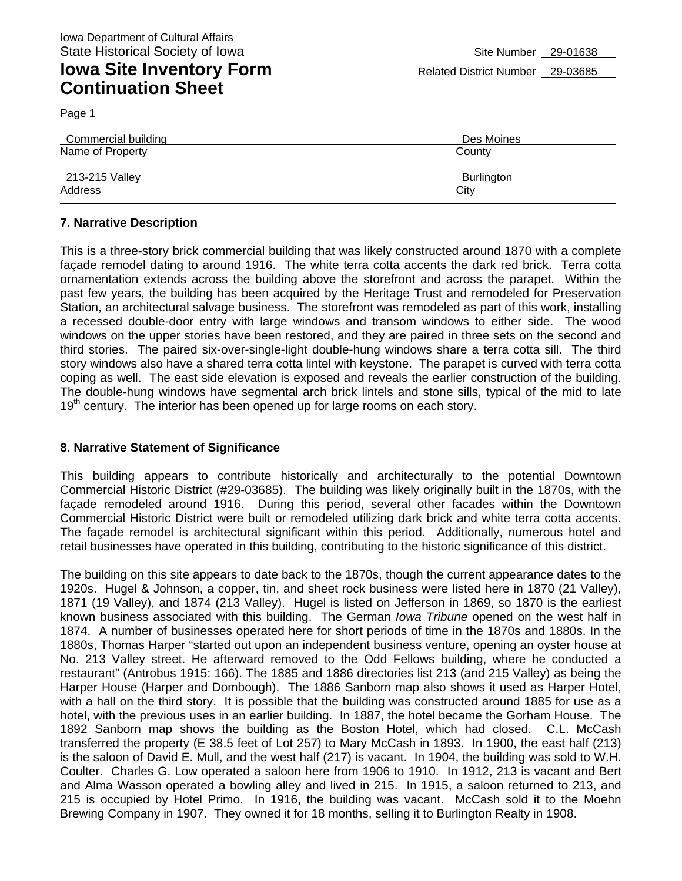Page 1

| Commercial building | Des Moines |
|---------------------|------------|
| Name of Property    | County     |
| 213-215 Valley      | Burlington |
| Address             | City       |

### **7. Narrative Description**

This is a three-story brick commercial building that was likely constructed around 1870 with a complete façade remodel dating to around 1916. The white terra cotta accents the dark red brick. Terra cotta ornamentation extends across the building above the storefront and across the parapet. Within the past few years, the building has been acquired by the Heritage Trust and remodeled for Preservation Station, an architectural salvage business. The storefront was remodeled as part of this work, installing a recessed double-door entry with large windows and transom windows to either side. The wood windows on the upper stories have been restored, and they are paired in three sets on the second and third stories. The paired six-over-single-light double-hung windows share a terra cotta sill. The third story windows also have a shared terra cotta lintel with keystone. The parapet is curved with terra cotta coping as well. The east side elevation is exposed and reveals the earlier construction of the building. The double-hung windows have segmental arch brick lintels and stone sills, typical of the mid to late 19<sup>th</sup> century. The interior has been opened up for large rooms on each story.

#### **8. Narrative Statement of Significance**

This building appears to contribute historically and architecturally to the potential Downtown Commercial Historic District (#29-03685). The building was likely originally built in the 1870s, with the façade remodeled around 1916. During this period, several other facades within the Downtown Commercial Historic District were built or remodeled utilizing dark brick and white terra cotta accents. The façade remodel is architectural significant within this period. Additionally, numerous hotel and retail businesses have operated in this building, contributing to the historic significance of this district.

The building on this site appears to date back to the 1870s, though the current appearance dates to the 1920s. Hugel & Johnson, a copper, tin, and sheet rock business were listed here in 1870 (21 Valley), 1871 (19 Valley), and 1874 (213 Valley). Hugel is listed on Jefferson in 1869, so 1870 is the earliest known business associated with this building. The German *Iowa Tribune* opened on the west half in 1874. A number of businesses operated here for short periods of time in the 1870s and 1880s. In the 1880s, Thomas Harper "started out upon an independent business venture, opening an oyster house at No. 213 Valley street. He afterward removed to the Odd Fellows building, where he conducted a restaurant" (Antrobus 1915: 166). The 1885 and 1886 directories list 213 (and 215 Valley) as being the Harper House (Harper and Dombough). The 1886 Sanborn map also shows it used as Harper Hotel, with a hall on the third story. It is possible that the building was constructed around 1885 for use as a hotel, with the previous uses in an earlier building. In 1887, the hotel became the Gorham House. The 1892 Sanborn map shows the building as the Boston Hotel, which had closed. C.L. McCash transferred the property (E 38.5 feet of Lot 257) to Mary McCash in 1893. In 1900, the east half (213) is the saloon of David E. Mull, and the west half (217) is vacant. In 1904, the building was sold to W.H. Coulter. Charles G. Low operated a saloon here from 1906 to 1910. In 1912, 213 is vacant and Bert and Alma Wasson operated a bowling alley and lived in 215. In 1915, a saloon returned to 213, and 215 is occupied by Hotel Primo. In 1916, the building was vacant. McCash sold it to the Moehn Brewing Company in 1907. They owned it for 18 months, selling it to Burlington Realty in 1908.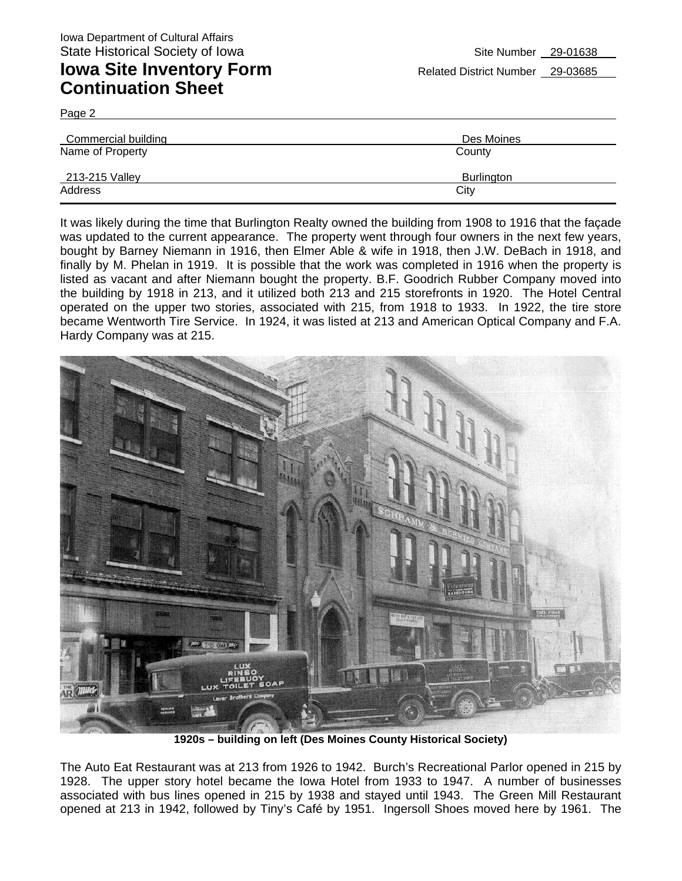Page 2

| <b>Commercial building</b> | Des Moines        |
|----------------------------|-------------------|
| Name of Property           | County            |
| 213-215 Valley             | <b>Burlington</b> |
| Address                    | City              |

It was likely during the time that Burlington Realty owned the building from 1908 to 1916 that the façade was updated to the current appearance. The property went through four owners in the next few years, bought by Barney Niemann in 1916, then Elmer Able & wife in 1918, then J.W. DeBach in 1918, and finally by M. Phelan in 1919. It is possible that the work was completed in 1916 when the property is listed as vacant and after Niemann bought the property. B.F. Goodrich Rubber Company moved into the building by 1918 in 213, and it utilized both 213 and 215 storefronts in 1920. The Hotel Central operated on the upper two stories, associated with 215, from 1918 to 1933. In 1922, the tire store became Wentworth Tire Service. In 1924, it was listed at 213 and American Optical Company and F.A. Hardy Company was at 215.



**1920s – building on left (Des Moines County Historical Society)** 

The Auto Eat Restaurant was at 213 from 1926 to 1942. Burch's Recreational Parlor opened in 215 by 1928. The upper story hotel became the Iowa Hotel from 1933 to 1947. A number of businesses associated with bus lines opened in 215 by 1938 and stayed until 1943. The Green Mill Restaurant opened at 213 in 1942, followed by Tiny's Café by 1951. Ingersoll Shoes moved here by 1961. The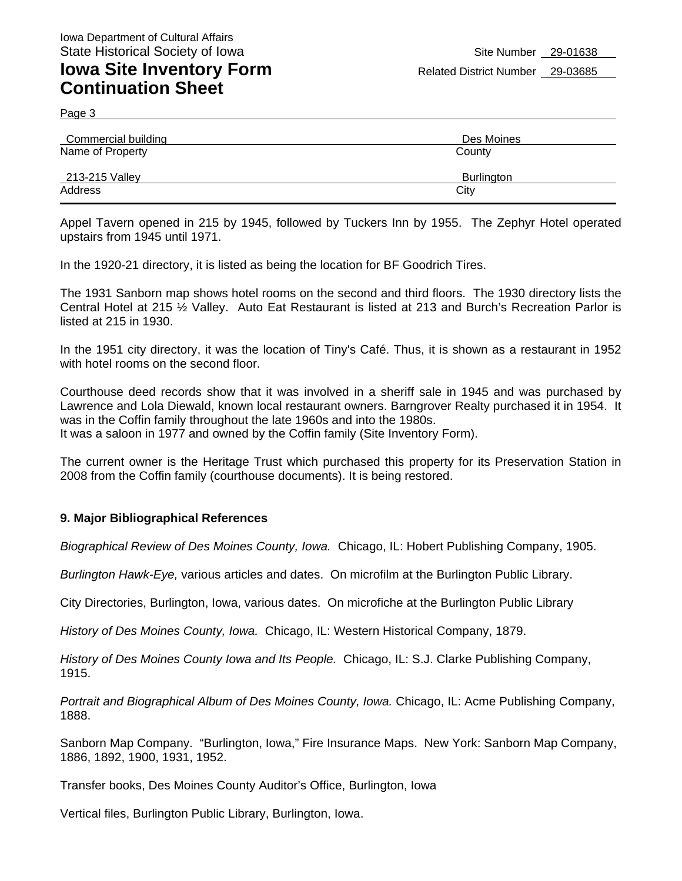Page 3

| Commercial building | Des Moines        |
|---------------------|-------------------|
| Name of Property    | County            |
| 213-215 Valley      | <b>Burlington</b> |
| Address             | City              |

Appel Tavern opened in 215 by 1945, followed by Tuckers Inn by 1955. The Zephyr Hotel operated upstairs from 1945 until 1971.

In the 1920-21 directory, it is listed as being the location for BF Goodrich Tires.

The 1931 Sanborn map shows hotel rooms on the second and third floors. The 1930 directory lists the Central Hotel at 215 ½ Valley. Auto Eat Restaurant is listed at 213 and Burch's Recreation Parlor is listed at 215 in 1930.

In the 1951 city directory, it was the location of Tiny's Café. Thus, it is shown as a restaurant in 1952 with hotel rooms on the second floor.

Courthouse deed records show that it was involved in a sheriff sale in 1945 and was purchased by Lawrence and Lola Diewald, known local restaurant owners. Barngrover Realty purchased it in 1954. It was in the Coffin family throughout the late 1960s and into the 1980s.

It was a saloon in 1977 and owned by the Coffin family (Site Inventory Form).

The current owner is the Heritage Trust which purchased this property for its Preservation Station in 2008 from the Coffin family (courthouse documents). It is being restored.

#### **9. Major Bibliographical References**

*Biographical Review of Des Moines County, Iowa.* Chicago, IL: Hobert Publishing Company, 1905.

*Burlington Hawk-Eye,* various articles and dates. On microfilm at the Burlington Public Library.

City Directories, Burlington, Iowa, various dates. On microfiche at the Burlington Public Library

*History of Des Moines County, Iowa.* Chicago, IL: Western Historical Company, 1879.

*History of Des Moines County Iowa and Its People.* Chicago, IL: S.J. Clarke Publishing Company, 1915.

*Portrait and Biographical Album of Des Moines County, Iowa.* Chicago, IL: Acme Publishing Company, 1888.

Sanborn Map Company. "Burlington, Iowa," Fire Insurance Maps. New York: Sanborn Map Company, 1886, 1892, 1900, 1931, 1952.

Transfer books, Des Moines County Auditor's Office, Burlington, Iowa

Vertical files, Burlington Public Library, Burlington, Iowa.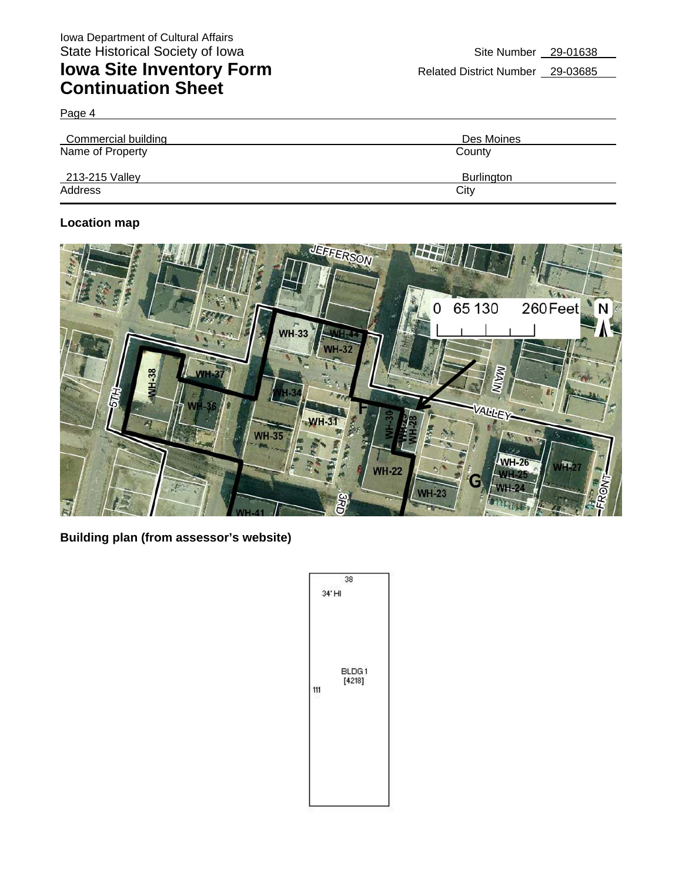Page 4

| Commercial building | Des Moines |
|---------------------|------------|
| Name of Property    | County     |
| 213-215 Valley      | Burlington |
| Address             | City       |

### **Location map**



**Building plan (from assessor's website)** 

| 38                     |
|------------------------|
| 34' HI                 |
| BLDG1<br>[4218]<br>111 |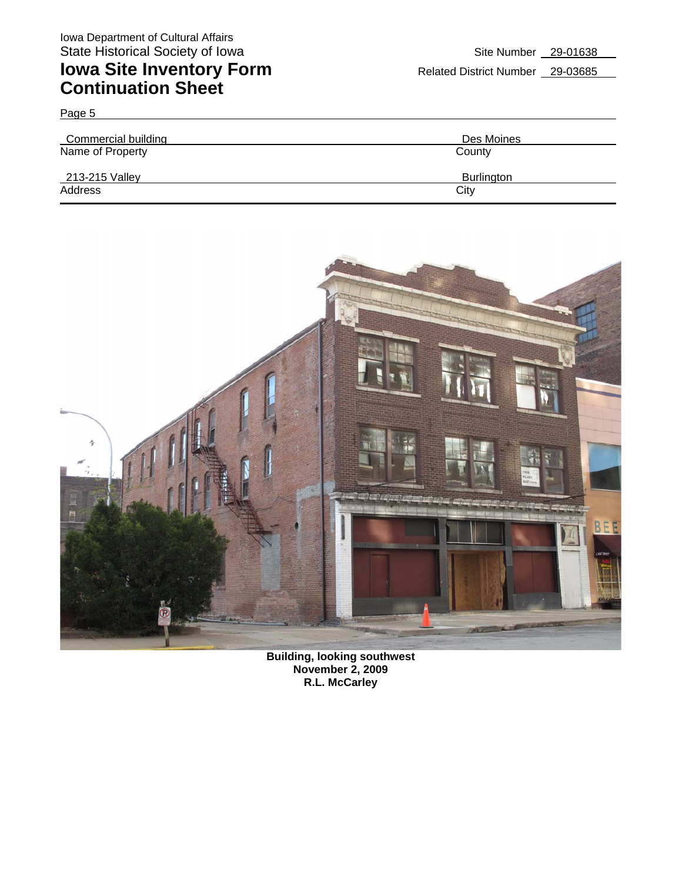Page 5

# **Iowa Site Inventory Form** Related District Number 29-03685 **Continuation Sheet**

| Commercial building | Des Moines        |
|---------------------|-------------------|
| Name of Property    | County            |
| 213-215 Valley      | <b>Burlington</b> |
| Address             | City              |



**Building, looking southwest November 2, 2009 R.L. McCarley**